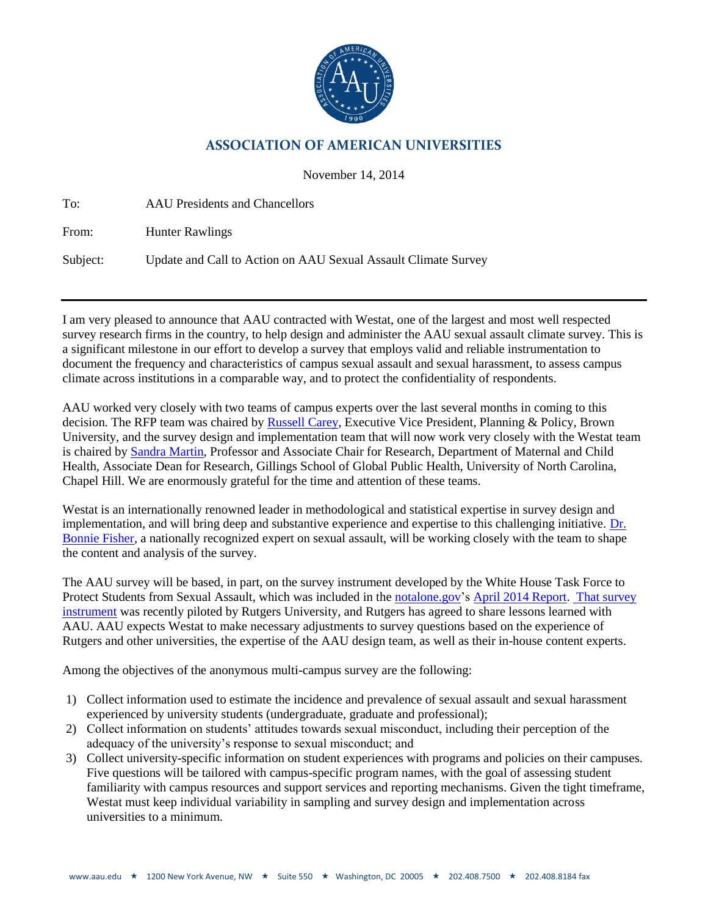

## **ASSOCIATION OF AMERICAN UNIVERSITIES**

November 14, 2014

| To:      | <b>AAU</b> Presidents and Chancellors                          |
|----------|----------------------------------------------------------------|
| From:    | <b>Hunter Rawlings</b>                                         |
| Subject: | Update and Call to Action on AAU Sexual Assault Climate Survey |

I am very pleased to announce that AAU contracted with Westat, one of the largest and most well respected survey research firms in the country, to help design and administer the AAU sexual assault climate survey. This is a significant milestone in our effort to develop a survey that employs valid and reliable instrumentation to document the frequency and characteristics of campus sexual assault and sexual harassment, to assess campus climate across institutions in a comparable way, and to protect the confidentiality of respondents.

AAU worked very closely with two teams of campus experts over the last several months in coming to this decision. The RFP team was chaired by [Russell Carey,](http://www.brown.edu/about/administration/corporation/policy-and-planning/about) Executive Vice President, Planning & Policy, Brown University, and the survey design and implementation team that will now work very closely with the Westat team is chaired by [Sandra Martin,](http://sph.unc.edu/profiles/sandra-l-martin-phd/) Professor and Associate Chair for Research, Department of Maternal and Child Health, Associate Dean for Research, Gillings School of Global Public Health, University of North Carolina, Chapel Hill. We are enormously grateful for the time and attention of these teams.

Westat is an internationally renowned leader in methodological and statistical expertise in survey design and implementation, and will bring deep and substantive experience and expertise to this challenging initiative. [Dr.](http://cech.uc.edu/criminaljustice/employees.html?eid=fisherbs)  [Bonnie Fisher,](http://cech.uc.edu/criminaljustice/employees.html?eid=fisherbs) a nationally recognized expert on sexual assault, will be working closely with the team to shape the content and analysis of the survey.

The AAU survey will be based, in part, on the survey instrument developed by the White House Task Force to Protect Students from Sexual Assault, which was included in the [notalone.gov'](http://www.notalone.gov/)s [April 2014 Report.](https://www.notalone.gov/assets/report.pdf) [That survey](https://www.aau.edu/registration/public/ovw-climate-survey.pdf)  [instrument](https://www.aau.edu/registration/public/ovw-climate-survey.pdf) was recently piloted by Rutgers University, and Rutgers has agreed to share lessons learned with AAU. AAU expects Westat to make necessary adjustments to survey questions based on the experience of Rutgers and other universities, the expertise of the AAU design team, as well as their in-house content experts.

Among the objectives of the anonymous multi-campus survey are the following:

- 1) Collect information used to estimate the incidence and prevalence of sexual assault and sexual harassment experienced by university students (undergraduate, graduate and professional);
- 2) Collect information on students' attitudes towards sexual misconduct, including their perception of the adequacy of the university's response to sexual misconduct; and
- 3) Collect university-specific information on student experiences with programs and policies on their campuses. Five questions will be tailored with campus-specific program names, with the goal of assessing student familiarity with campus resources and support services and reporting mechanisms. Given the tight timeframe, Westat must keep individual variability in sampling and survey design and implementation across universities to a minimum.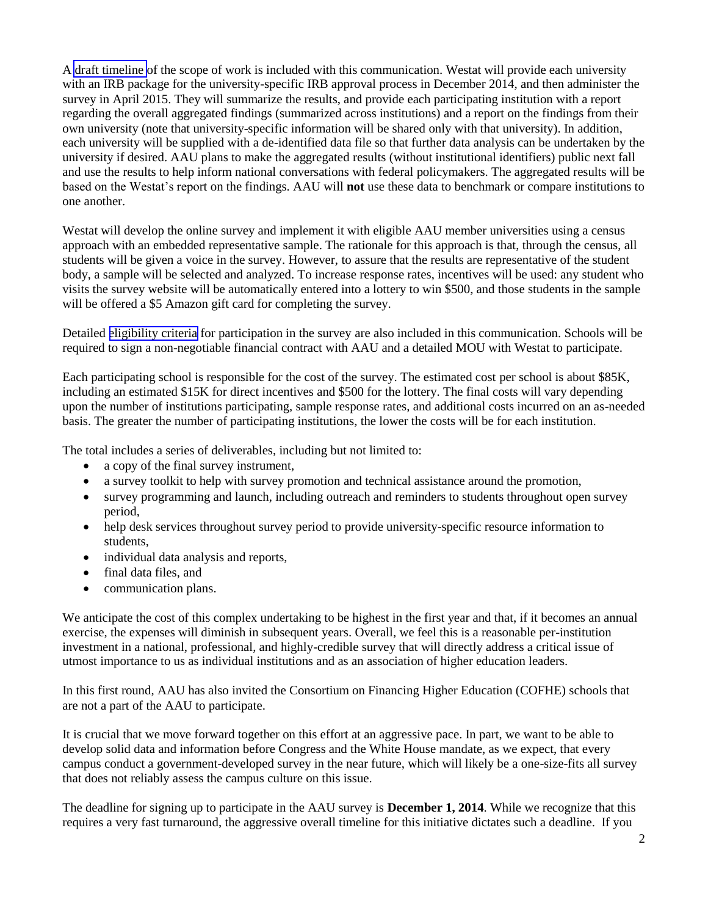A [draft timeline](#page-5-0) of the scope of work is included with this communication. Westat will provide each university with an IRB package for the university-specific IRB approval process in December 2014, and then administer the survey in April 2015. They will summarize the results, and provide each participating institution with a report regarding the overall aggregated findings (summarized across institutions) and a report on the findings from their own university (note that university-specific information will be shared only with that university). In addition, each university will be supplied with a de-identified data file so that further data analysis can be undertaken by the university if desired. AAU plans to make the aggregated results (without institutional identifiers) public next fall and use the results to help inform national conversations with federal policymakers. The aggregated results will be based on the Westat's report on the findings. AAU will **not** use these data to benchmark or compare institutions to one another.

Westat will develop the online survey and implement it with eligible AAU member universities using a census approach with an embedded representative sample. The rationale for this approach is that, through the census, all students will be given a voice in the survey. However, to assure that the results are representative of the student body, a sample will be selected and analyzed. To increase response rates, incentives will be used: any student who visits the survey website will be automatically entered into a lottery to win \$500, and those students in the sample will be offered a \$5 Amazon gift card for completing the survey.

Detailed [eligibility criteria](#page-3-0) for participation in the survey are also included in this communication. Schools will be required to sign a non-negotiable financial contract with AAU and a detailed MOU with Westat to participate.

Each participating school is responsible for the cost of the survey. The estimated cost per school is about \$85K, including an estimated \$15K for direct incentives and \$500 for the lottery. The final costs will vary depending upon the number of institutions participating, sample response rates, and additional costs incurred on an as-needed basis. The greater the number of participating institutions, the lower the costs will be for each institution.

The total includes a series of deliverables, including but not limited to:

- a copy of the final survey instrument,
- a survey toolkit to help with survey promotion and technical assistance around the promotion,
- survey programming and launch, including outreach and reminders to students throughout open survey period,
- help desk services throughout survey period to provide university-specific resource information to students,
- individual data analysis and reports,
- final data files, and
- communication plans.

We anticipate the cost of this complex undertaking to be highest in the first year and that, if it becomes an annual exercise, the expenses will diminish in subsequent years. Overall, we feel this is a reasonable per-institution investment in a national, professional, and highly-credible survey that will directly address a critical issue of utmost importance to us as individual institutions and as an association of higher education leaders.

In this first round, AAU has also invited the [Consortium on Financing Higher Education \(](http://web.mit.edu/cofhe/)COFHE) schools that are not a part of the AAU to participate.

It is crucial that we move forward together on this effort at an aggressive pace. In part, we want to be able to develop solid data and information before Congress and the White House [mandate,](http://www.whitehouse.gov/the-press-office/2014/04/29/fact-sheet-not-alone-protecting-students-sexual-assault) as we expect, that every campus conduct a government-developed survey in the near future, which will likely be a one-size-fits all survey that does not reliably assess the campus culture on this issue.

The deadline for signing up to participate in the AAU survey is **December 1, 2014**. While we recognize that this requires a very fast turnaround, the aggressive overall timeline for this initiative dictates such a deadline. If you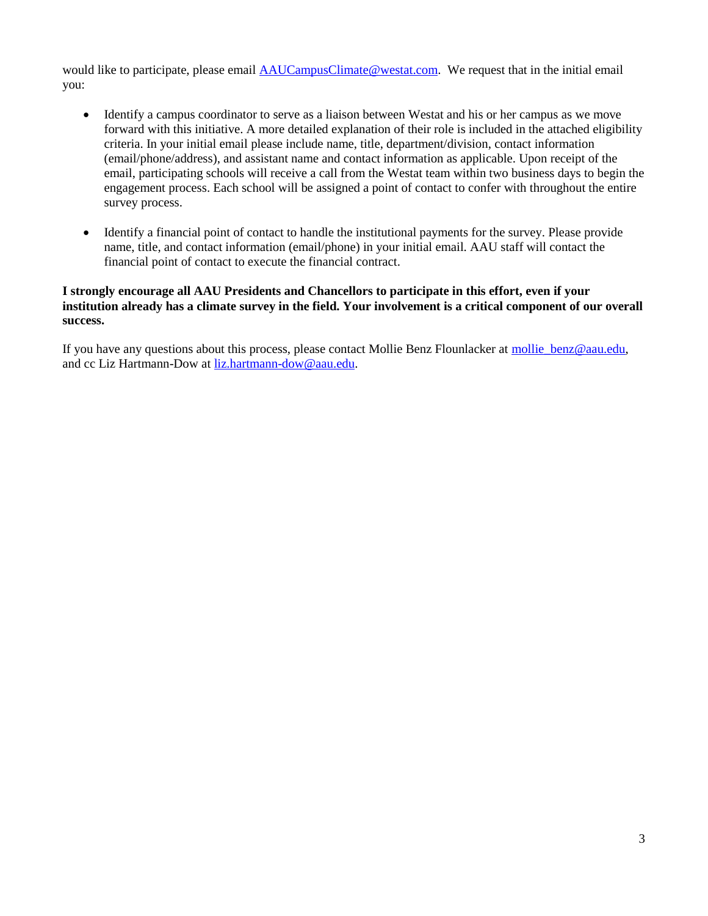would like to participate, please email [AAUCampusClimate@westat.com.](mailto:AAUCampusClimate@westat.com) We request that in the initial email you:

- Identify a campus coordinator to serve as a liaison between Westat and his or her campus as we move forward with this initiative. A more detailed explanation of their role is included in the attached eligibility criteria. In your initial email please include name, title, department/division, contact information (email/phone/address), and assistant name and contact information as applicable. Upon receipt of the email, participating schools will receive a call from the Westat team within two business days to begin the engagement process. Each school will be assigned a point of contact to confer with throughout the entire survey process.
- Identify a financial point of contact to handle the institutional payments for the survey. Please provide name, title, and contact information (email/phone) in your initial email. AAU staff will contact the financial point of contact to execute the financial contract.

## **I strongly encourage all AAU Presidents and Chancellors to participate in this effort, even if your institution already has a climate survey in the field. Your involvement is a critical component of our overall success.**

If you have any questions about this process, please contact Mollie Benz Flounlacker at [mollie\\_benz@aau.edu,](mailto:mollie_benz@aau.edu) and cc Liz Hartmann-Dow at [liz.hartmann-dow@aau.edu.](mailto:liz.hartmann-dow@aau.edu)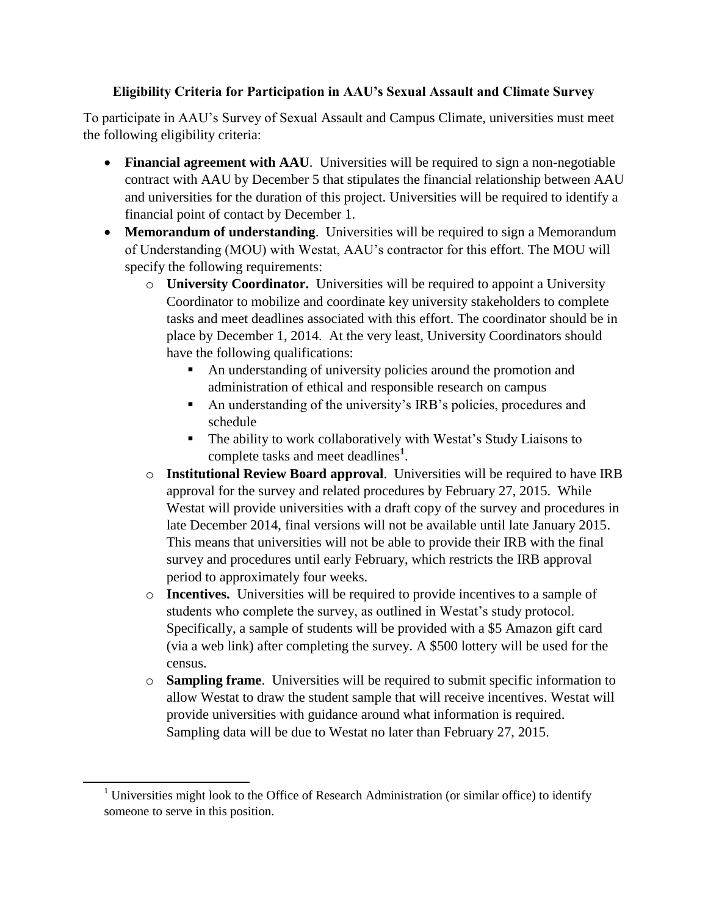## **Eligibility Criteria for Participation in AAU's Sexual Assault and Climate Survey**

<span id="page-3-0"></span>To participate in AAU's Survey of Sexual Assault and Campus Climate, universities must meet the following eligibility criteria:

- **Financial agreement with AAU**. Universities will be required to sign a non-negotiable contract with AAU by December 5 that stipulates the financial relationship between AAU and universities for the duration of this project. Universities will be required to identify a financial point of contact by December 1.
- **Memorandum of understanding**. Universities will be required to sign a Memorandum of Understanding (MOU) with Westat, AAU's contractor for this effort. The MOU will specify the following requirements:
	- o **University Coordinator.** Universities will be required to appoint a University Coordinator to mobilize and coordinate key university stakeholders to complete tasks and meet deadlines associated with this effort. The coordinator should be in place by December 1, 2014. At the very least, University Coordinators should have the following qualifications:
		- An understanding of university policies around the promotion and administration of ethical and responsible research on campus
		- An understanding of the university's IRB's policies, procedures and schedule
		- The ability to work collaboratively with Westat's Study Liaisons to complete tasks and meet deadlines**<sup>1</sup>** .
	- o **Institutional Review Board approval**. Universities will be required to have IRB approval for the survey and related procedures by February 27, 2015. While Westat will provide universities with a draft copy of the survey and procedures in late December 2014, final versions will not be available until late January 2015. This means that universities will not be able to provide their IRB with the final survey and procedures until early February, which restricts the IRB approval period to approximately four weeks.
	- o **Incentives.** Universities will be required to provide incentives to a sample of students who complete the survey, as outlined in Westat's study protocol. Specifically, a sample of students will be provided with a \$5 Amazon gift card (via a web link) after completing the survey. A \$500 lottery will be used for the census.
	- o **Sampling frame**. Universities will be required to submit specific information to allow Westat to draw the student sample that will receive incentives. Westat will provide universities with guidance around what information is required. Sampling data will be due to Westat no later than February 27, 2015.

 $\overline{\phantom{0}}$ 

 $1$  Universities might look to the Office of Research Administration (or similar office) to identify someone to serve in this position.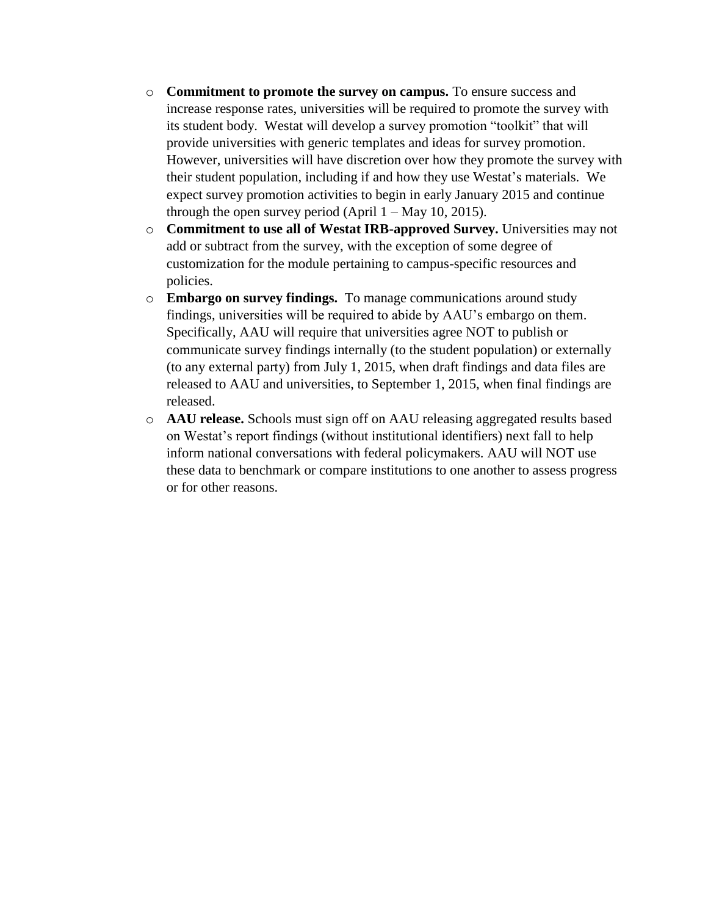- o **Commitment to promote the survey on campus.** To ensure success and increase response rates, universities will be required to promote the survey with its student body. Westat will develop a survey promotion "toolkit" that will provide universities with generic templates and ideas for survey promotion. However, universities will have discretion over how they promote the survey with their student population, including if and how they use Westat's materials. We expect survey promotion activities to begin in early January 2015 and continue through the open survey period (April  $1 - May 10, 2015$ ).
- o **Commitment to use all of Westat IRB-approved Survey.** Universities may not add or subtract from the survey, with the exception of some degree of customization for the module pertaining to campus-specific resources and policies.
- o **Embargo on survey findings.** To manage communications around study findings, universities will be required to abide by AAU's embargo on them. Specifically, AAU will require that universities agree NOT to publish or communicate survey findings internally (to the student population) or externally (to any external party) from July 1, 2015, when draft findings and data files are released to AAU and universities, to September 1, 2015, when final findings are released.
- o **AAU release.** Schools must sign off on AAU releasing aggregated results based on Westat's report findings (without institutional identifiers) next fall to help inform national conversations with federal policymakers. AAU will NOT use these data to benchmark or compare institutions to one another to assess progress or for other reasons.